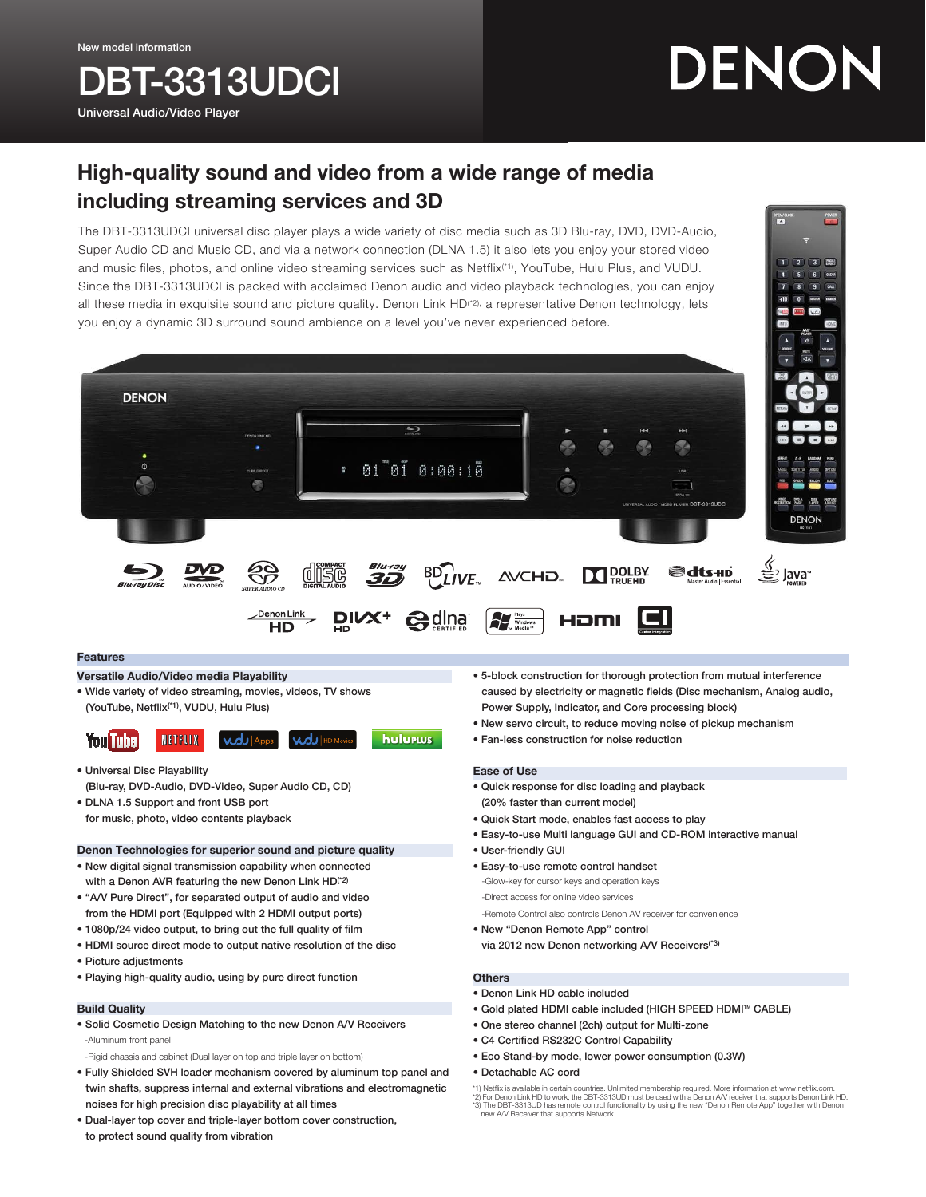**BT-3313UDCI** 

Universal Audio/Video Player

**DENON** 

# DENON

## High-quality sound and video from a wide range of media including streaming services and 3D

The DBT-3313UDCI universal disc player plays a wide variety of disc media such as 3D Blu-ray, DVD, DVD-Audio, Super Audio CD and Music CD, and via a network connection (DLNA 1.5) it also lets you enjoy your stored video and music files, photos, and online video streaming services such as Netflix(\*1), YouTube, Hulu Plus, and VUDU. Since the DBT-3313UDCI is packed with acclaimed Denon audio and video playback technologies, you can enjoy all these media in exquisite sound and picture quality. Denon Link HD<sup>(\*2),</sup> a representative Denon technology, lets you enjoy a dynamic 3D surround sound ambience on a level you've never experienced before.

 $. 01"01"0:00:10$ 

**BD**LIVE

**e**dina

Blu-ray

DIVX<sup>+</sup>



**LAYER RIGHT** 

ava<sup>®</sup>

 $1 2 3 3$ 

#### Features

Versatile Audio/Video media Playability

• Wide variety of video streaming, movies, videos, TV shows

(YouTube, Netflix(\*1), VUDU, Hulu Plus)

දිලි

Denon Link

**HD** 

disc

#### **huluptus You Tube** NETFLIX

- Universal Disc Playability (Blu-ray, DVD-Audio, DVD-Video, Super Audio CD, CD)
- DLNA 1.5 Support and front USB port for music, photo, video contents playback

#### Denon Technologies for superior sound and picture quality

- New digital signal transmission capability when connected with a Denon AVR featuring the new Denon Link HD<sup>(\*2)</sup>
- "A/V Pure Direct", for separated output of audio and video from the HDMI port (Equipped with 2 HDMI output ports)
- 1080p/24 video output, to bring out the full quality of film
- HDMI source direct mode to output native resolution of the disc
- Picture adjustments
- Playing high-quality audio, using by pure direct function

#### Build Quality

- Solid Cosmetic Design Matching to the new Denon A/V Receivers -Aluminum front panel
- -Rigid chassis and cabinet (Dual layer on top and triple layer on bottom)
- Fully Shielded SVH loader mechanism covered by aluminum top panel and twin shafts, suppress internal and external vibrations and electromagnetic noises for high precision disc playability at all times
- Dual-layer top cover and triple-layer bottom cover construction, to protect sound quality from vibration

• 5-block construction for thorough protection from mutual interference caused by electricity or magnetic fields (Disc mechanism, Analog audio, Power Supply, Indicator, and Core processing block)

@dts-HD

• New servo circuit, to reduce moving noise of pickup mechanism

 $\prod_{\text{Pouezn}}$ 

HDMI

• Fan-less construction for noise reduction

#### Ease of Use

 $\frac{1}{N}$ 

**AVCHD** 

- Quick response for disc loading and playback (20% faster than current model)
- Quick Start mode, enables fast access to play
- Easy-to-use Multi language GUI and CD-ROM interactive manual
- User-friendly GUI
- Easy-to-use remote control handset
- -Glow-key for cursor keys and operation keys -Direct access for online video services -Remote Control also controls Denon AV receiver for convenience
- New "Denon Remote App" control via 2012 new Denon networking A/V Receivers<sup>(\*3)</sup>
- **Others**
- Denon Link HD cable included
- Gold plated HDMI cable included (HIGH SPEED HDMI™ CABLE)
- One stereo channel (2ch) output for Multi-zone
- C4 Certified RS232C Control Capability
- Eco Stand-by mode, lower power consumption (0.3W)

#### • Detachable AC cord

\*1) Netflix is available in certain countries. Unlimited membership required. More information at www.netflix.com.<br>\*2) For Denon Link HD to work, the DBT-3313UD must be used with a Denon A/V receiver that supports Denon Li